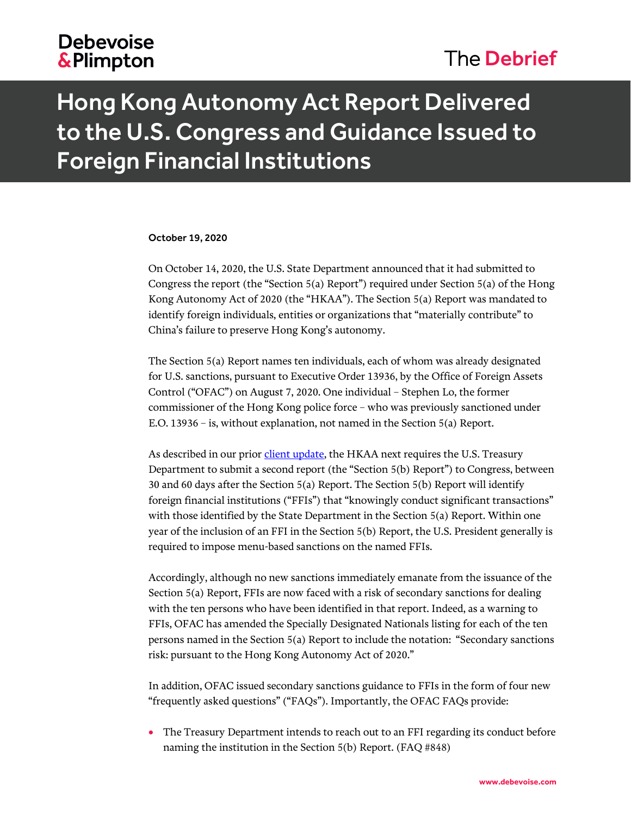## **Debevoise &Plimpton**

## The Debrief

# Hong Kong Autonomy Act Report Delivered to the U.S. Congress and Guidance Issued to Foreign Financial Institutions

#### October 19, 2020

On October 14, 2020, the U.S. State Department announced that it had submitted to Congress the report (the "Section 5(a) Report") required under Section 5(a) of the Hong Kong Autonomy Act of 2020 (the "HKAA"). The Section 5(a) Report was mandated to identify foreign individuals, entities or organizations that "materially contribute" to China's failure to preserve Hong Kong's autonomy.

The Section 5(a) Report names ten individuals, each of whom was already designated for U.S. sanctions, pursuant to Executive Order 13936, by the Office of Foreign Assets Control ("OFAC") on August 7, 2020. One individual – Stephen Lo, the former commissioner of the Hong Kong police force – who was previously sanctioned under E.O. 13936 – is, without explanation, not named in the Section 5(a) Report.

As described in our prior *client update*, the HKAA next requires the U.S. Treasury Department to submit a second report (the "Section 5(b) Report") to Congress, between 30 and 60 days after the Section 5(a) Report. The Section 5(b) Report will identify foreign financial institutions ("FFIs") that "knowingly conduct significant transactions" with those identified by the State Department in the Section 5(a) Report. Within one year of the inclusion of an FFI in the Section 5(b) Report, the U.S. President generally is required to impose menu-based sanctions on the named FFIs.

Accordingly, although no new sanctions immediately emanate from the issuance of the Section 5(a) Report, FFIs are now faced with a risk of secondary sanctions for dealing with the ten persons who have been identified in that report. Indeed, as a warning to FFIs, OFAC has amended the Specially Designated Nationals listing for each of the ten persons named in the Section 5(a) Report to include the notation: "Secondary sanctions risk: pursuant to the Hong Kong Autonomy Act of 2020."

In addition, OFAC issued secondary sanctions guidance to FFIs in the form of four new "frequently asked questions" ("FAQs"). Importantly, the OFAC FAQs provide:

 The Treasury Department intends to reach out to an FFI regarding its conduct before naming the institution in the Section 5(b) Report. (FAQ #848)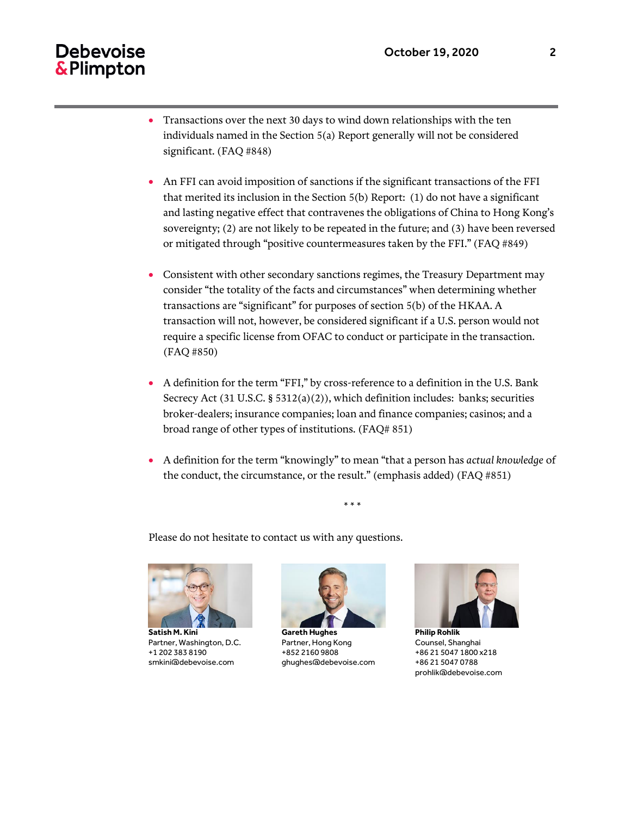### **Debevoise** & Plimpton

- Transactions over the next 30 days to wind down relationships with the ten individuals named in the Section 5(a) Report generally will not be considered significant. (FAQ #848)
- An FFI can avoid imposition of sanctions if the significant transactions of the FFI that merited its inclusion in the Section 5(b) Report: (1) do not have a significant and lasting negative effect that contravenes the obligations of China to Hong Kong's sovereignty; (2) are not likely to be repeated in the future; and (3) have been reversed or mitigated through "positive countermeasures taken by the FFI." (FAQ #849)
- Consistent with other secondary sanctions regimes, the Treasury Department may consider "the totality of the facts and circumstances" when determining whether transactions are "significant" for purposes of section 5(b) of the HKAA. A transaction will not, however, be considered significant if a U.S. person would not require a specific license from OFAC to conduct or participate in the transaction. (FAQ #850)
- A definition for the term "FFI," by cross-reference to a definition in the U.S. Bank Secrecy Act (31 U.S.C. § 5312(a)(2)), which definition includes: banks; securities broker-dealers; insurance companies; loan and finance companies; casinos; and a broad range of other types of institutions. (FAQ# 851)
- A definition for the term "knowingly" to mean "that a person has *actual knowledge* of the conduct, the circumstance, or the result." (emphasis added) (FAQ #851)

\* \* \*

Please do not hesitate to contact us with any questions.



**Satish M. Kini** Partner, Washington, D.C. +1 202 383 8190 smkini@debevoise.com



**Gareth Hughes** Partner, Hong Kong +852 2160 9808 ghughes@debevoise.com



**Philip Rohlik** Counsel, Shanghai +86 21 5047 1800 x218 +86 21 5047 0788 prohlik@debevoise.com